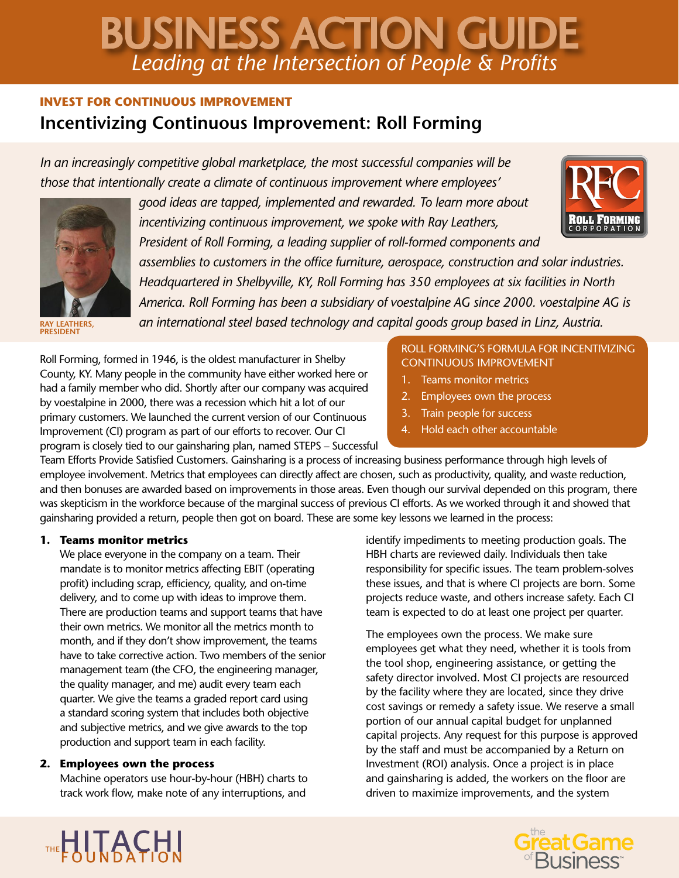# *Leading at the Intersection of People & Profits* BUSINESS ACTION GUIDE

# **INVEST FOR CONTINUOUS IMPROVEMENT Incentivizing Continuous Improvement: Roll Forming**

*In an increasingly competitive global marketplace, the most successful companies will be those that intentionally create a climate of continuous improvement where employees'* 



*good ideas are tapped, implemented and rewarded. To learn more about incentivizing continuous improvement, we spoke with Ray Leathers,* 

*President of Roll Forming, a leading supplier of roll-formed components and* 



*assemblies to customers in the office furniture, aerospace, construction and solar industries. Headquartered in Shelbyville, KY, Roll Forming has 350 employees at six facilities in North America. Roll Forming has been a subsidiary of voestalpine AG since 2000. voestalpine AG is an international steel based technology and capital goods group based in Linz, Austria.* 

**RAY LEATHERS, PRESIDENT**

Roll Forming, formed in 1946, is the oldest manufacturer in Shelby County, KY. Many people in the community have either worked here or had a family member who did. Shortly after our company was acquired by voestalpine in 2000, there was a recession which hit a lot of our primary customers. We launched the current version of our Continuous Improvement (CI) program as part of our efforts to recover. Our CI program is closely tied to our gainsharing plan, named STEPS – Successful

### ROLL FORMING'S FORMULA FOR INCENTIVIZING CONTINUOUS IMPROVEMENT

- 1. Teams monitor metrics
- 2. Employees own the process
- 3. Train people for success
- 4. Hold each other accountable

Team Efforts Provide Satisfied Customers. Gainsharing is a process of increasing business performance through high levels of employee involvement. Metrics that employees can directly affect are chosen, such as productivity, quality, and waste reduction, and then bonuses are awarded based on improvements in those areas. Even though our survival depended on this program, there was skepticism in the workforce because of the marginal success of previous CI efforts. As we worked through it and showed that gainsharing provided a return, people then got on board. These are some key lessons we learned in the process:

# **1. Teams monitor metrics**

We place everyone in the company on a team. Their mandate is to monitor metrics affecting EBIT (operating profit) including scrap, efficiency, quality, and on-time delivery, and to come up with ideas to improve them. There are production teams and support teams that have their own metrics. We monitor all the metrics month to month, and if they don't show improvement, the teams have to take corrective action. Two members of the senior management team (the CFO, the engineering manager, the quality manager, and me) audit every team each quarter. We give the teams a graded report card using a standard scoring system that includes both objective and subjective metrics, and we give awards to the top production and support team in each facility.

# **2. Employees own the process**

Machine operators use hour-by-hour (HBH) charts to track work flow, make note of any interruptions, and

identify impediments to meeting production goals. The HBH charts are reviewed daily. Individuals then take responsibility for specific issues. The team problem-solves these issues, and that is where CI projects are born. Some projects reduce waste, and others increase safety. Each CI team is expected to do at least one project per quarter.

The employees own the process. We make sure employees get what they need, whether it is tools from the tool shop, engineering assistance, or getting the safety director involved. Most CI projects are resourced by the facility where they are located, since they drive cost savings or remedy a safety issue. We reserve a small portion of our annual capital budget for unplanned capital projects. Any request for this purpose is approved by the staff and must be accompanied by a Return on Investment (ROI) analysis. Once a project is in place and gainsharing is added, the workers on the floor are driven to maximize improvements, and the system